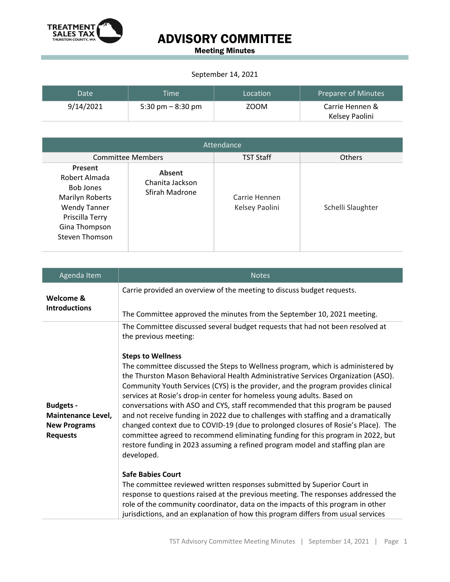

## ADVISORY COMMITTEE

Meeting Minutes

## September 14, 2021

| Date      | <b>Time</b>        | Location | Preparer of Minutes |
|-----------|--------------------|----------|---------------------|
| 9/14/2021 | 5:30 pm $-8:30$ pm | ZOOM     | Carrie Hennen &     |
|           |                    |          | Kelsey Paolini      |

| Attendance                                                                                                                                   |                                                    |                                 |                   |  |
|----------------------------------------------------------------------------------------------------------------------------------------------|----------------------------------------------------|---------------------------------|-------------------|--|
| <b>Committee Members</b>                                                                                                                     |                                                    | <b>TST Staff</b>                | <b>Others</b>     |  |
| Present<br>Robert Almada<br><b>Bob Jones</b><br>Marilyn Roberts<br><b>Wendy Tanner</b><br>Priscilla Terry<br>Gina Thompson<br>Steven Thomson | <b>Absent</b><br>Chanita Jackson<br>Sfirah Madrone | Carrie Hennen<br>Kelsey Paolini | Schelli Slaughter |  |

| Agenda Item                                                                      | <b>Notes</b>                                                                                                                                                                                                                                                                                                                                                                                                                                                                                                                                                                                                                                                                                                                                                                                                                                                                                                                                                                                                                                                                                                                                                                                                                                                                                |
|----------------------------------------------------------------------------------|---------------------------------------------------------------------------------------------------------------------------------------------------------------------------------------------------------------------------------------------------------------------------------------------------------------------------------------------------------------------------------------------------------------------------------------------------------------------------------------------------------------------------------------------------------------------------------------------------------------------------------------------------------------------------------------------------------------------------------------------------------------------------------------------------------------------------------------------------------------------------------------------------------------------------------------------------------------------------------------------------------------------------------------------------------------------------------------------------------------------------------------------------------------------------------------------------------------------------------------------------------------------------------------------|
| Welcome &<br><b>Introductions</b>                                                | Carrie provided an overview of the meeting to discuss budget requests.<br>The Committee approved the minutes from the September 10, 2021 meeting.                                                                                                                                                                                                                                                                                                                                                                                                                                                                                                                                                                                                                                                                                                                                                                                                                                                                                                                                                                                                                                                                                                                                           |
| <b>Budgets -</b><br>Maintenance Level,<br><b>New Programs</b><br><b>Requests</b> | The Committee discussed several budget requests that had not been resolved at<br>the previous meeting:<br><b>Steps to Wellness</b><br>The committee discussed the Steps to Wellness program, which is administered by<br>the Thurston Mason Behavioral Health Administrative Services Organization (ASO).<br>Community Youth Services (CYS) is the provider, and the program provides clinical<br>services at Rosie's drop-in center for homeless young adults. Based on<br>conversations with ASO and CYS, staff recommended that this program be paused<br>and not receive funding in 2022 due to challenges with staffing and a dramatically<br>changed context due to COVID-19 (due to prolonged closures of Rosie's Place). The<br>committee agreed to recommend eliminating funding for this program in 2022, but<br>restore funding in 2023 assuming a refined program model and staffing plan are<br>developed.<br><b>Safe Babies Court</b><br>The committee reviewed written responses submitted by Superior Court in<br>response to questions raised at the previous meeting. The responses addressed the<br>role of the community coordinator, data on the impacts of this program in other<br>jurisdictions, and an explanation of how this program differs from usual services |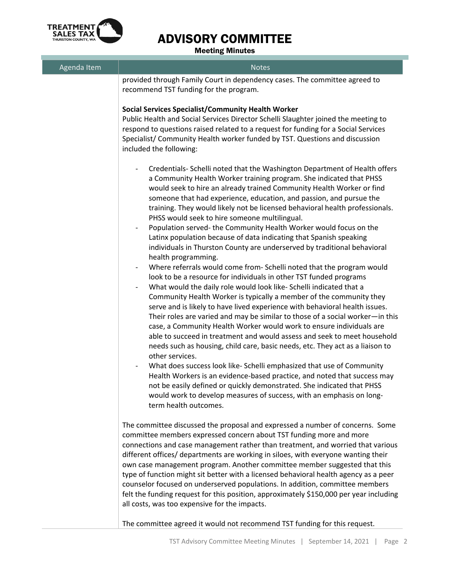

## ADVISORY COMMITTEE

Meeting Minutes

| Agenda Item | <b>Notes</b>                                                                                                                                                                                                                                                                                                                                                                                                                                                                                                                                                                                                                                                                                                                                                                                                                                                                                                                                                                                                                                                                                                                                                                                                                                                                                                                                                                                                                                                                                                                                                                                                                                                                                                                                                     |
|-------------|------------------------------------------------------------------------------------------------------------------------------------------------------------------------------------------------------------------------------------------------------------------------------------------------------------------------------------------------------------------------------------------------------------------------------------------------------------------------------------------------------------------------------------------------------------------------------------------------------------------------------------------------------------------------------------------------------------------------------------------------------------------------------------------------------------------------------------------------------------------------------------------------------------------------------------------------------------------------------------------------------------------------------------------------------------------------------------------------------------------------------------------------------------------------------------------------------------------------------------------------------------------------------------------------------------------------------------------------------------------------------------------------------------------------------------------------------------------------------------------------------------------------------------------------------------------------------------------------------------------------------------------------------------------------------------------------------------------------------------------------------------------|
|             | provided through Family Court in dependency cases. The committee agreed to<br>recommend TST funding for the program.                                                                                                                                                                                                                                                                                                                                                                                                                                                                                                                                                                                                                                                                                                                                                                                                                                                                                                                                                                                                                                                                                                                                                                                                                                                                                                                                                                                                                                                                                                                                                                                                                                             |
|             | <b>Social Services Specialist/Community Health Worker</b><br>Public Health and Social Services Director Schelli Slaughter joined the meeting to<br>respond to questions raised related to a request for funding for a Social Services<br>Specialist/ Community Health worker funded by TST. Questions and discussion<br>included the following:                                                                                                                                                                                                                                                                                                                                                                                                                                                                                                                                                                                                                                                                                                                                                                                                                                                                                                                                                                                                                                                                                                                                                                                                                                                                                                                                                                                                                  |
|             | Credentials- Schelli noted that the Washington Department of Health offers<br>a Community Health Worker training program. She indicated that PHSS<br>would seek to hire an already trained Community Health Worker or find<br>someone that had experience, education, and passion, and pursue the<br>training. They would likely not be licensed behavioral health professionals.<br>PHSS would seek to hire someone multilingual.<br>Population served-the Community Health Worker would focus on the<br>$\overline{\phantom{a}}$<br>Latinx population because of data indicating that Spanish speaking<br>individuals in Thurston County are underserved by traditional behavioral<br>health programming.<br>Where referrals would come from- Schelli noted that the program would<br>look to be a resource for individuals in other TST funded programs<br>What would the daily role would look like- Schelli indicated that a<br>Community Health Worker is typically a member of the community they<br>serve and is likely to have lived experience with behavioral health issues.<br>Their roles are varied and may be similar to those of a social worker-in this<br>case, a Community Health Worker would work to ensure individuals are<br>able to succeed in treatment and would assess and seek to meet household<br>needs such as housing, child care, basic needs, etc. They act as a liaison to<br>other services.<br>What does success look like- Schelli emphasized that use of Community<br>Health Workers is an evidence-based practice, and noted that success may<br>not be easily defined or quickly demonstrated. She indicated that PHSS<br>would work to develop measures of success, with an emphasis on long-<br>term health outcomes. |
|             | The committee discussed the proposal and expressed a number of concerns. Some<br>committee members expressed concern about TST funding more and more<br>connections and case management rather than treatment, and worried that various<br>different offices/ departments are working in siloes, with everyone wanting their<br>own case management program. Another committee member suggested that this<br>type of function might sit better with a licensed behavioral health agency as a peer<br>counselor focused on underserved populations. In addition, committee members<br>felt the funding request for this position, approximately \$150,000 per year including<br>all costs, was too expensive for the impacts.                                                                                                                                                                                                                                                                                                                                                                                                                                                                                                                                                                                                                                                                                                                                                                                                                                                                                                                                                                                                                                     |
|             | The committee agreed it would not recommend TST funding for this request.                                                                                                                                                                                                                                                                                                                                                                                                                                                                                                                                                                                                                                                                                                                                                                                                                                                                                                                                                                                                                                                                                                                                                                                                                                                                                                                                                                                                                                                                                                                                                                                                                                                                                        |